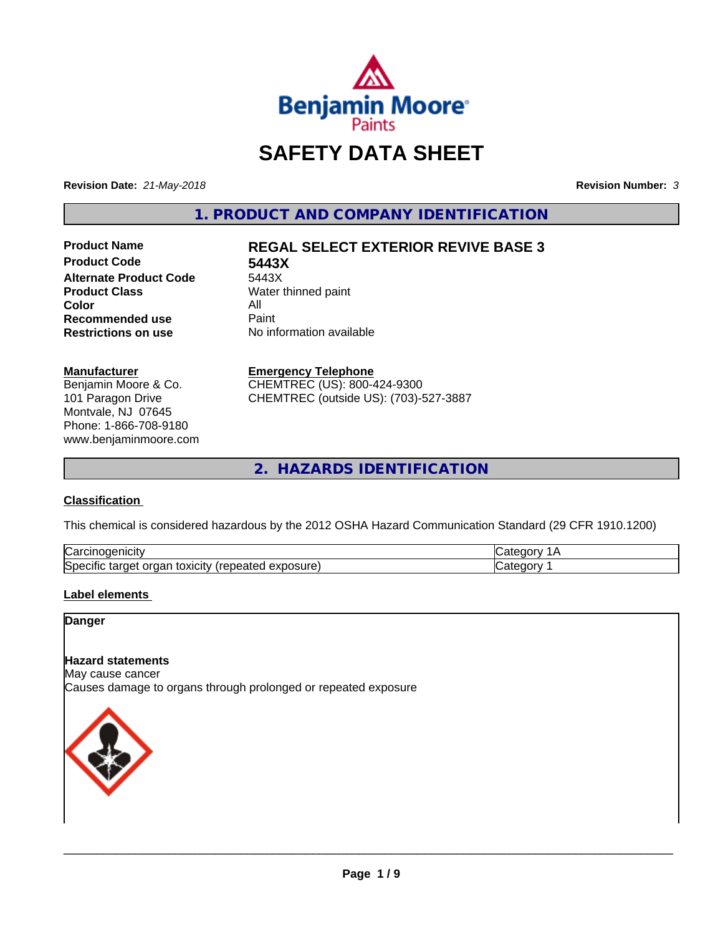

# **SAFETY DATA SHEET**

**Revision Date:** *21-May-2018* **Revision Number:** *3*

**1. PRODUCT AND COMPANY IDENTIFICATION**

**Product Code 5443X Alternate Product Code**<br>Product Class **Color** All<br> **Recommended use** Paint **Recommended use**<br>Restrictions on use

# **Product Name REGAL SELECT EXTERIOR REVIVE BASE 3**

**Water thinned paint No information available** 

### **Manufacturer**

Benjamin Moore & Co. 101 Paragon Drive Montvale, NJ 07645 Phone: 1-866-708-9180 www.benjaminmoore.com

### **Emergency Telephone**

CHEMTREC (US): 800-424-9300 CHEMTREC (outside US): (703)-527-3887

**2. HAZARDS IDENTIFICATION**

# **Classification**

This chemical is considered hazardous by the 2012 OSHA Hazard Communication Standard (29 CFR 1910.1200)

| ∽<br>Nai<br>н                                                                      |  |
|------------------------------------------------------------------------------------|--|
| lSne<br>.<br>.∪xiCitV ′ ′<br>∼<br>osur<br>ിലെ<br>eared<br>ы<br>⊶<br>ж<br>– ^<br>__ |  |

# **Label elements**

# **Danger**

### **Hazard statements**

May cause cancer Causes damage to organs through prolonged or repeated exposure

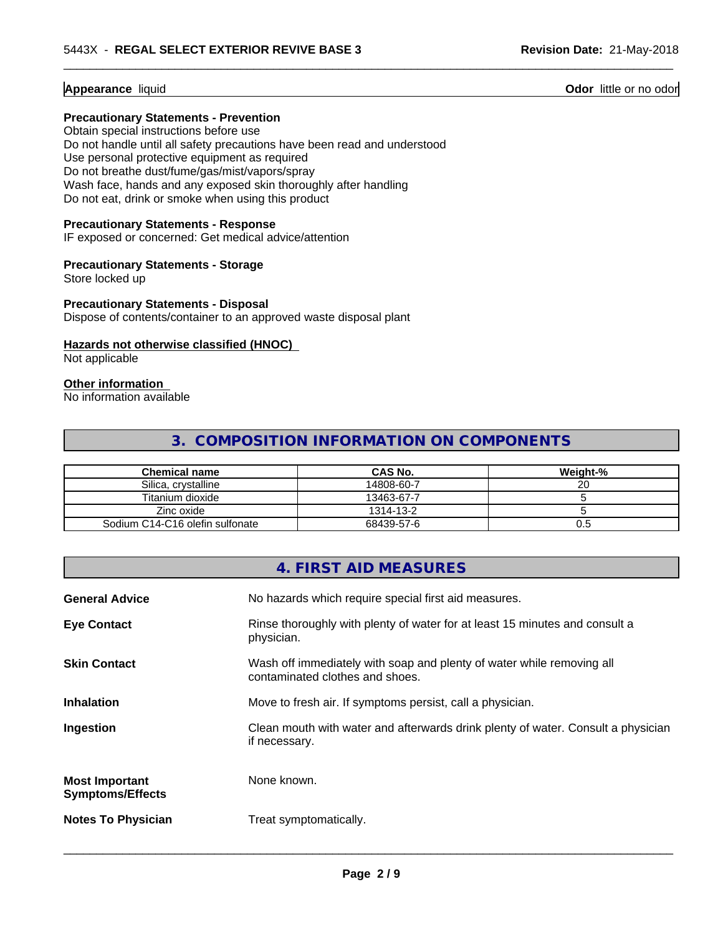# **Appearance** liquid

# **Precautionary Statements - Prevention**

Obtain special instructions before use Do not handle until all safety precautions have been read and understood Use personal protective equipment as required Do not breathe dust/fume/gas/mist/vapors/spray Wash face, hands and any exposed skin thoroughly after handling Do not eat, drink or smoke when using this product

### **Precautionary Statements - Response**

IF exposed or concerned: Get medical advice/attention

#### **Precautionary Statements - Storage**

Store locked up

### **Precautionary Statements - Disposal**

Dispose of contents/container to an approved waste disposal plant

# **Hazards not otherwise classified (HNOC)**

Not applicable

# **Other information**

No information available

# **3. COMPOSITION INFORMATION ON COMPONENTS**

 $\overline{\phantom{a}}$  ,  $\overline{\phantom{a}}$  ,  $\overline{\phantom{a}}$  ,  $\overline{\phantom{a}}$  ,  $\overline{\phantom{a}}$  ,  $\overline{\phantom{a}}$  ,  $\overline{\phantom{a}}$  ,  $\overline{\phantom{a}}$  ,  $\overline{\phantom{a}}$  ,  $\overline{\phantom{a}}$  ,  $\overline{\phantom{a}}$  ,  $\overline{\phantom{a}}$  ,  $\overline{\phantom{a}}$  ,  $\overline{\phantom{a}}$  ,  $\overline{\phantom{a}}$  ,  $\overline{\phantom{a}}$ 

| Chemical name                   | <b>CAS No.</b> | Weight-% |
|---------------------------------|----------------|----------|
| Silica, crystalline             | 14808-60-7     | ∠u       |
| Titanium dioxide                | 13463-67-7     |          |
| Zinc oxide                      | 1314-13-2      |          |
| Sodium C14-C16 olefin sulfonate | 68439-57-6     | U.5      |

|                                                  | 4. FIRST AID MEASURES                                                                                    |
|--------------------------------------------------|----------------------------------------------------------------------------------------------------------|
| <b>General Advice</b>                            | No hazards which require special first aid measures.                                                     |
| <b>Eye Contact</b>                               | Rinse thoroughly with plenty of water for at least 15 minutes and consult a<br>physician.                |
| <b>Skin Contact</b>                              | Wash off immediately with soap and plenty of water while removing all<br>contaminated clothes and shoes. |
| <b>Inhalation</b>                                | Move to fresh air. If symptoms persist, call a physician.                                                |
| Ingestion                                        | Clean mouth with water and afterwards drink plenty of water. Consult a physician<br>if necessary.        |
| <b>Most Important</b><br><b>Symptoms/Effects</b> | None known.                                                                                              |
| <b>Notes To Physician</b>                        | Treat symptomatically.                                                                                   |

 $\overline{\phantom{a}}$  ,  $\overline{\phantom{a}}$  ,  $\overline{\phantom{a}}$  ,  $\overline{\phantom{a}}$  ,  $\overline{\phantom{a}}$  ,  $\overline{\phantom{a}}$  ,  $\overline{\phantom{a}}$  ,  $\overline{\phantom{a}}$  ,  $\overline{\phantom{a}}$  ,  $\overline{\phantom{a}}$  ,  $\overline{\phantom{a}}$  ,  $\overline{\phantom{a}}$  ,  $\overline{\phantom{a}}$  ,  $\overline{\phantom{a}}$  ,  $\overline{\phantom{a}}$  ,  $\overline{\phantom{a}}$ 

**Odor** little or no odor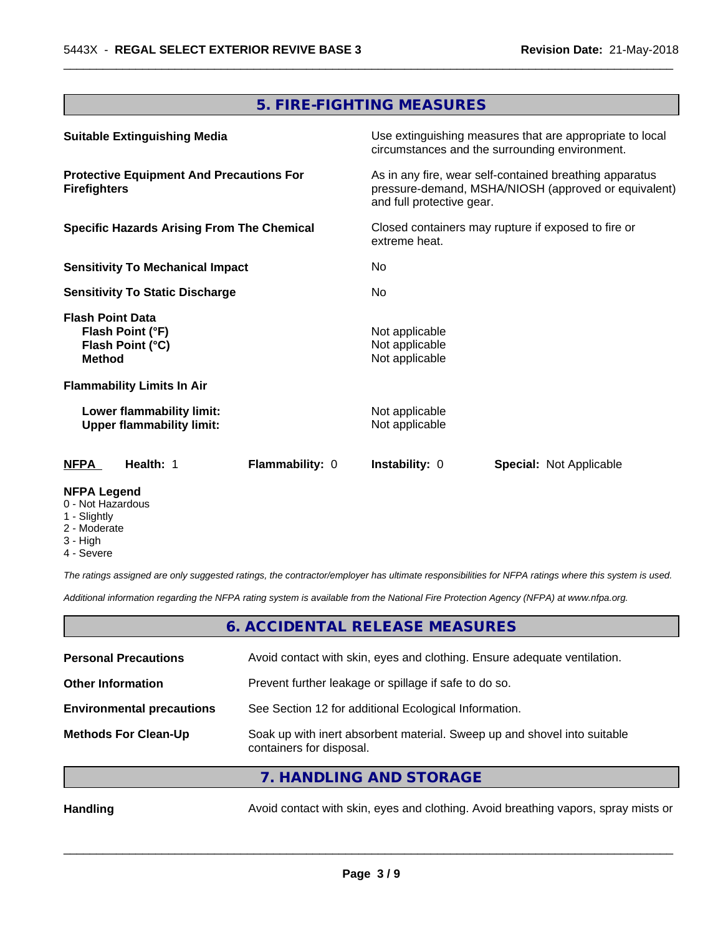# **5. FIRE-FIGHTING MEASURES**

 $\overline{\phantom{a}}$  ,  $\overline{\phantom{a}}$  ,  $\overline{\phantom{a}}$  ,  $\overline{\phantom{a}}$  ,  $\overline{\phantom{a}}$  ,  $\overline{\phantom{a}}$  ,  $\overline{\phantom{a}}$  ,  $\overline{\phantom{a}}$  ,  $\overline{\phantom{a}}$  ,  $\overline{\phantom{a}}$  ,  $\overline{\phantom{a}}$  ,  $\overline{\phantom{a}}$  ,  $\overline{\phantom{a}}$  ,  $\overline{\phantom{a}}$  ,  $\overline{\phantom{a}}$  ,  $\overline{\phantom{a}}$ 

| <b>Suitable Extinguishing Media</b>                                              | Use extinguishing measures that are appropriate to local<br>circumstances and the surrounding environment.                                   |  |
|----------------------------------------------------------------------------------|----------------------------------------------------------------------------------------------------------------------------------------------|--|
| <b>Protective Equipment And Precautions For</b><br><b>Firefighters</b>           | As in any fire, wear self-contained breathing apparatus<br>pressure-demand, MSHA/NIOSH (approved or equivalent)<br>and full protective gear. |  |
| <b>Specific Hazards Arising From The Chemical</b>                                | Closed containers may rupture if exposed to fire or<br>extreme heat.                                                                         |  |
| <b>Sensitivity To Mechanical Impact</b>                                          | No.                                                                                                                                          |  |
| <b>Sensitivity To Static Discharge</b>                                           | No.                                                                                                                                          |  |
| <b>Flash Point Data</b><br>Flash Point (°F)<br>Flash Point (°C)<br><b>Method</b> | Not applicable<br>Not applicable<br>Not applicable                                                                                           |  |
| <b>Flammability Limits In Air</b>                                                |                                                                                                                                              |  |
| Lower flammability limit:<br><b>Upper flammability limit:</b>                    | Not applicable<br>Not applicable                                                                                                             |  |
| <b>NFPA</b><br>Health: 1<br>Flammability: 0                                      | <b>Instability: 0</b><br><b>Special: Not Applicable</b>                                                                                      |  |
| <b>NFPA Legend</b>                                                               |                                                                                                                                              |  |

- 0 Not Hazardous
- 1 Slightly
- 2 Moderate
- 3 High
- 4 Severe

*The ratings assigned are only suggested ratings, the contractor/employer has ultimate responsibilities for NFPA ratings where this system is used.*

*Additional information regarding the NFPA rating system is available from the National Fire Protection Agency (NFPA) at www.nfpa.org.*

# **6. ACCIDENTAL RELEASE MEASURES**

| <b>Personal Precautions</b>      | Avoid contact with skin, eyes and clothing. Ensure adequate ventilation.                             |
|----------------------------------|------------------------------------------------------------------------------------------------------|
| <b>Other Information</b>         | Prevent further leakage or spillage if safe to do so.                                                |
| <b>Environmental precautions</b> | See Section 12 for additional Ecological Information.                                                |
| <b>Methods For Clean-Up</b>      | Soak up with inert absorbent material. Sweep up and shovel into suitable<br>containers for disposal. |

# **7. HANDLING AND STORAGE**

Handling **Handling Avoid contact with skin, eyes and clothing. Avoid breathing vapors, spray mists or**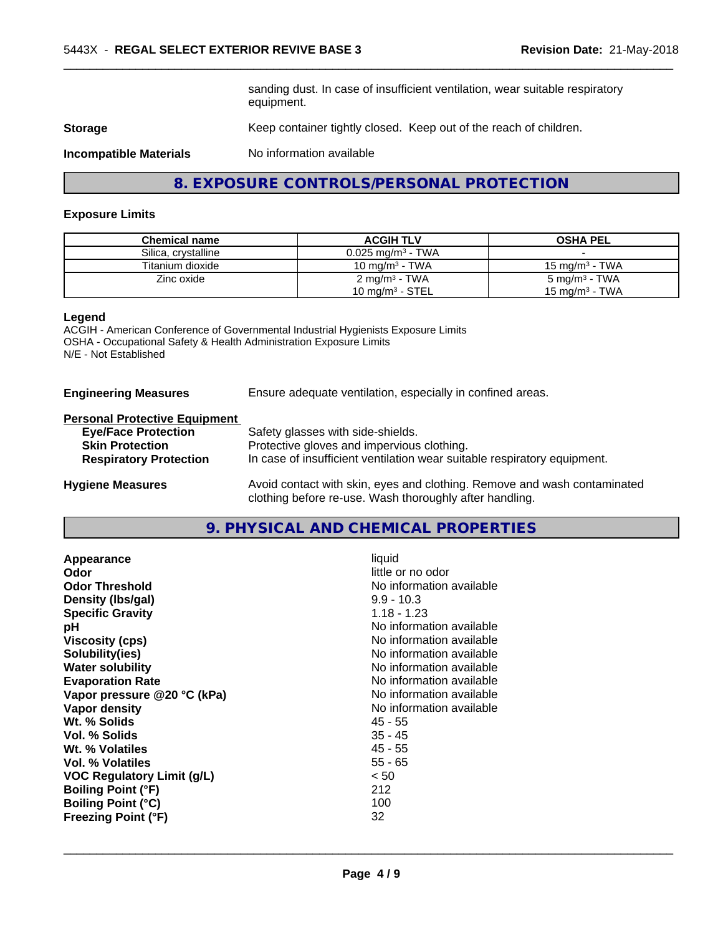sanding dust. In case of insufficient ventilation, wear suitable respiratory equipment.

 $\overline{\phantom{a}}$  ,  $\overline{\phantom{a}}$  ,  $\overline{\phantom{a}}$  ,  $\overline{\phantom{a}}$  ,  $\overline{\phantom{a}}$  ,  $\overline{\phantom{a}}$  ,  $\overline{\phantom{a}}$  ,  $\overline{\phantom{a}}$  ,  $\overline{\phantom{a}}$  ,  $\overline{\phantom{a}}$  ,  $\overline{\phantom{a}}$  ,  $\overline{\phantom{a}}$  ,  $\overline{\phantom{a}}$  ,  $\overline{\phantom{a}}$  ,  $\overline{\phantom{a}}$  ,  $\overline{\phantom{a}}$ 

**Storage** Keep container tightly closed. Keep out of the reach of children.

**Incompatible Materials** No information available

**8. EXPOSURE CONTROLS/PERSONAL PROTECTION**

#### **Exposure Limits**

| <b>Chemical name</b> | <b>ACGIH TLV</b>                | <b>OSHA PEL</b>    |
|----------------------|---------------------------------|--------------------|
| Silica, crystalline  | $0.025$ mg/m <sup>3</sup> - TWA |                    |
| Titanium dioxide     | 10 mg/m $3$ - TWA               | 15 mg/m $3$ - TWA  |
| Zinc oxide           | 2 mg/m <sup>3</sup> - TWA       | 5 mg/m $^3$ - TWA  |
|                      | 10 mg/m $3$ - STEL              | 15 mg/m $^3$ - TWA |

#### **Legend**

ACGIH - American Conference of Governmental Industrial Hygienists Exposure Limits OSHA - Occupational Safety & Health Administration Exposure Limits N/E - Not Established

**Engineering Measures** Ensure adequate ventilation, especially in confined areas.

### **Personal Protective Equipment**

| <b>Eye/Face Protection</b>    | Safety glasses with side-shields.                                        |
|-------------------------------|--------------------------------------------------------------------------|
| <b>Skin Protection</b>        | Protective gloves and impervious clothing.                               |
| <b>Respiratory Protection</b> | In case of insufficient ventilation wear suitable respiratory equipment. |
| <b>Hygiene Measures</b>       | Avoid contact with skin, eyes and clothing. Remove and wash contaminated |

**9. PHYSICAL AND CHEMICAL PROPERTIES**

clothing before re-use. Wash thoroughly after handling.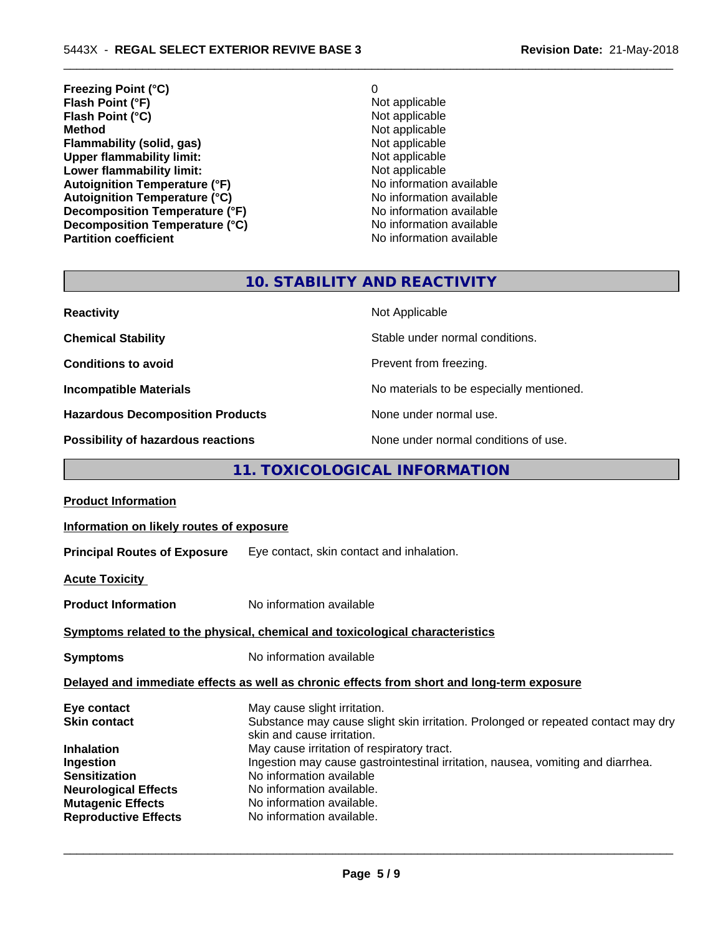- **Freezing Point (°C)** 0 **Flash Point (°F)**<br> **Flash Point (°C)**<br> **Flash Point (°C)**<br> **C** Not applicable **Flash Point (°C)**<br>Method **Flammability (solid, gas)**<br> **Commability limit:**<br>
Upper flammability limit:<br>
Not applicable **Upper flammability limit:**<br> **Lower flammability limit:**<br>
Not applicable<br>
Not applicable **Lower flammability limit:**<br> **Autoignition Temperature (°F)**<br>
Mo information available **Autoignition Temperature (°F)**<br> **Autoignition Temperature (°C)** No information available **Autoignition Temperature (°C)**<br> **Decomposition Temperature (°F)** No information available **Decomposition Temperature (°F) Decomposition Temperature (°C)** No information available
	- **Not applicable**<br>Not applicable **No information available**

 $\overline{\phantom{a}}$  ,  $\overline{\phantom{a}}$  ,  $\overline{\phantom{a}}$  ,  $\overline{\phantom{a}}$  ,  $\overline{\phantom{a}}$  ,  $\overline{\phantom{a}}$  ,  $\overline{\phantom{a}}$  ,  $\overline{\phantom{a}}$  ,  $\overline{\phantom{a}}$  ,  $\overline{\phantom{a}}$  ,  $\overline{\phantom{a}}$  ,  $\overline{\phantom{a}}$  ,  $\overline{\phantom{a}}$  ,  $\overline{\phantom{a}}$  ,  $\overline{\phantom{a}}$  ,  $\overline{\phantom{a}}$ 

# **10. STABILITY AND REACTIVITY**

| <b>Reactivity</b>                       | Not Applicable                           |
|-----------------------------------------|------------------------------------------|
| <b>Chemical Stability</b>               | Stable under normal conditions.          |
| <b>Conditions to avoid</b>              | Prevent from freezing.                   |
| <b>Incompatible Materials</b>           | No materials to be especially mentioned. |
| <b>Hazardous Decomposition Products</b> | None under normal use.                   |
| Possibility of hazardous reactions      | None under normal conditions of use.     |

# **11. TOXICOLOGICAL INFORMATION**

| <b>Product Information</b>                                                                                                                |                                                                                                                                                                                                                                                  |
|-------------------------------------------------------------------------------------------------------------------------------------------|--------------------------------------------------------------------------------------------------------------------------------------------------------------------------------------------------------------------------------------------------|
| Information on likely routes of exposure                                                                                                  |                                                                                                                                                                                                                                                  |
|                                                                                                                                           | Principal Routes of Exposure Eye contact, skin contact and inhalation.                                                                                                                                                                           |
| <b>Acute Toxicity</b>                                                                                                                     |                                                                                                                                                                                                                                                  |
| <b>Product Information</b>                                                                                                                | No information available                                                                                                                                                                                                                         |
|                                                                                                                                           | Symptoms related to the physical, chemical and toxicological characteristics                                                                                                                                                                     |
| Symptoms                                                                                                                                  | No information available                                                                                                                                                                                                                         |
|                                                                                                                                           | Delayed and immediate effects as well as chronic effects from short and long-term exposure                                                                                                                                                       |
| Eye contact<br>Skin contact                                                                                                               | May cause slight irritation.<br>Substance may cause slight skin irritation. Prolonged or repeated contact may dry<br>skin and cause irritation.                                                                                                  |
| Inhalation<br>Ingestion<br><b>Sensitization</b><br><b>Neurological Effects</b><br><b>Mutagenic Effects</b><br><b>Reproductive Effects</b> | May cause irritation of respiratory tract.<br>Ingestion may cause gastrointestinal irritation, nausea, vomiting and diarrhea.<br>No information available<br>No information available.<br>No information available.<br>No information available. |
|                                                                                                                                           |                                                                                                                                                                                                                                                  |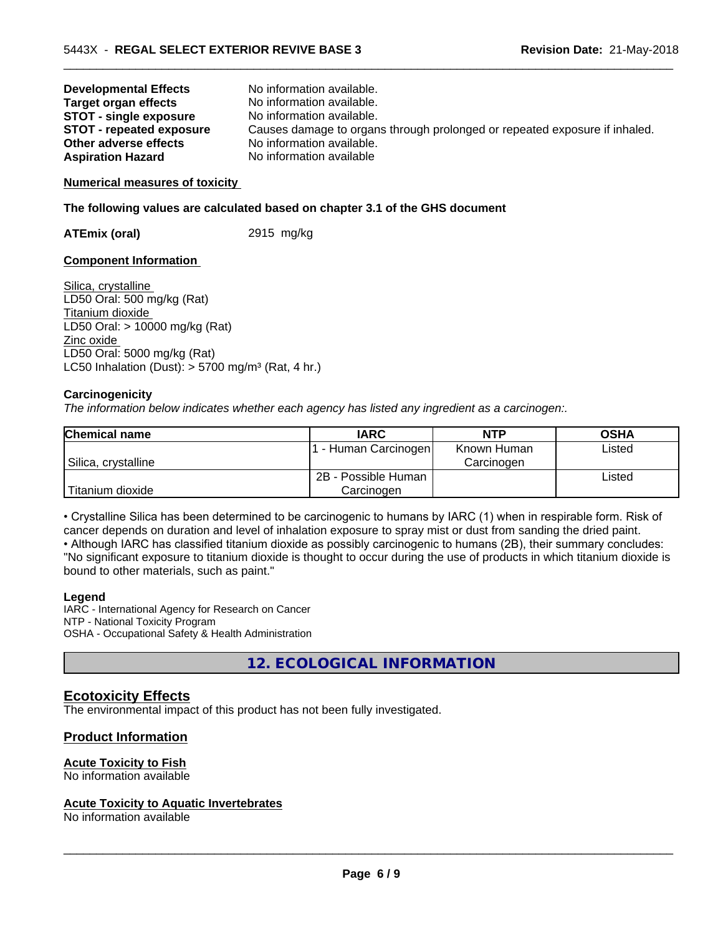| <b>Developmental Effects</b>    | No information available.                                                  |
|---------------------------------|----------------------------------------------------------------------------|
| <b>Target organ effects</b>     | No information available.                                                  |
| <b>STOT - single exposure</b>   | No information available.                                                  |
| <b>STOT - repeated exposure</b> | Causes damage to organs through prolonged or repeated exposure if inhaled. |
| Other adverse effects           | No information available.                                                  |
| <b>Aspiration Hazard</b>        | No information available                                                   |

 $\overline{\phantom{a}}$  ,  $\overline{\phantom{a}}$  ,  $\overline{\phantom{a}}$  ,  $\overline{\phantom{a}}$  ,  $\overline{\phantom{a}}$  ,  $\overline{\phantom{a}}$  ,  $\overline{\phantom{a}}$  ,  $\overline{\phantom{a}}$  ,  $\overline{\phantom{a}}$  ,  $\overline{\phantom{a}}$  ,  $\overline{\phantom{a}}$  ,  $\overline{\phantom{a}}$  ,  $\overline{\phantom{a}}$  ,  $\overline{\phantom{a}}$  ,  $\overline{\phantom{a}}$  ,  $\overline{\phantom{a}}$ 

### **Numerical measures of toxicity**

### **The following values are calculated based on chapter 3.1 of the GHS document**

**ATEmix (oral)** 2915 mg/kg

### **Component Information**

Silica, crystalline LD50 Oral: 500 mg/kg (Rat) Titanium dioxide LD50 Oral: > 10000 mg/kg (Rat) Zinc oxide LD50 Oral: 5000 mg/kg (Rat) LC50 Inhalation (Dust):  $> 5700$  mg/m<sup>3</sup> (Rat, 4 hr.)

### **Carcinogenicity**

*The information below indicateswhether each agency has listed any ingredient as a carcinogen:.*

| <b>Chemical name</b> | <b>IARC</b>         | <b>NTP</b>  | <b>OSHA</b> |
|----------------------|---------------------|-------------|-------------|
|                      | Fuman Carcinogen    | Known Human | Listed      |
| Silica, crystalline  |                     | Carcinogen  |             |
|                      | 2B - Possible Human |             | Listed      |
| Titanium dioxide     | Carcinogen          |             |             |

• Crystalline Silica has been determined to be carcinogenic to humans by IARC (1) when in respirable form. Risk of cancer depends on duration and level of inhalation exposure to spray mist or dust from sanding the dried paint.

• Although IARC has classified titanium dioxide as possibly carcinogenic to humans (2B), their summary concludes: "No significant exposure to titanium dioxide is thought to occur during the use of products in which titanium dioxide is bound to other materials, such as paint."

### **Legend**

IARC - International Agency for Research on Cancer NTP - National Toxicity Program OSHA - Occupational Safety & Health Administration

**12. ECOLOGICAL INFORMATION**

# **Ecotoxicity Effects**

The environmental impact of this product has not been fully investigated.

# **Product Information**

### **Acute Toxicity to Fish**

No information available

#### **Acute Toxicity to Aquatic Invertebrates**

No information available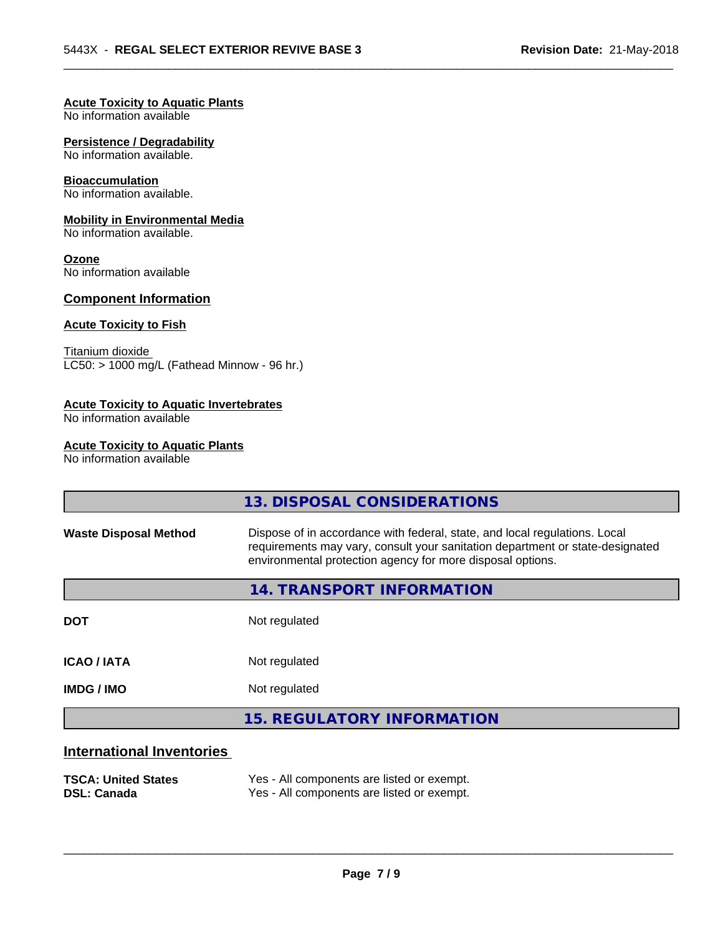### **Acute Toxicity to Aquatic Plants**

No information available

### **Persistence / Degradability**

No information available.

#### **Bioaccumulation**

No information available.

### **Mobility in Environmental Media**

No information available.

#### **Ozone**

No information available

# **Component Information**

# **Acute Toxicity to Fish**

Titanium dioxide  $\overline{\text{LC50:}}$  > 1000 mg/L (Fathead Minnow - 96 hr.)

# **Acute Toxicity to Aquatic Invertebrates**

No information available

### **Acute Toxicity to Aquatic Plants**

No information available

|                                  | 13. DISPOSAL CONSIDERATIONS                                                                                                                                                                                               |
|----------------------------------|---------------------------------------------------------------------------------------------------------------------------------------------------------------------------------------------------------------------------|
| <b>Waste Disposal Method</b>     | Dispose of in accordance with federal, state, and local regulations. Local<br>requirements may vary, consult your sanitation department or state-designated<br>environmental protection agency for more disposal options. |
|                                  | 14. TRANSPORT INFORMATION                                                                                                                                                                                                 |
| <b>DOT</b>                       | Not regulated                                                                                                                                                                                                             |
| <b>ICAO/IATA</b>                 | Not regulated                                                                                                                                                                                                             |
| <b>IMDG/IMO</b>                  | Not regulated                                                                                                                                                                                                             |
|                                  | <b>15. REGULATORY INFORMATION</b>                                                                                                                                                                                         |
| <b>International Inventories</b> |                                                                                                                                                                                                                           |

 $\overline{\phantom{a}}$  ,  $\overline{\phantom{a}}$  ,  $\overline{\phantom{a}}$  ,  $\overline{\phantom{a}}$  ,  $\overline{\phantom{a}}$  ,  $\overline{\phantom{a}}$  ,  $\overline{\phantom{a}}$  ,  $\overline{\phantom{a}}$  ,  $\overline{\phantom{a}}$  ,  $\overline{\phantom{a}}$  ,  $\overline{\phantom{a}}$  ,  $\overline{\phantom{a}}$  ,  $\overline{\phantom{a}}$  ,  $\overline{\phantom{a}}$  ,  $\overline{\phantom{a}}$  ,  $\overline{\phantom{a}}$ 

# **TSCA: United States** Yes - All components are listed or exempt.

| TOUA. UNITED STATES | res - All components are ilsted or exempt. |
|---------------------|--------------------------------------------|
| <b>DSL: Canada</b>  | Yes - All components are listed or exempt. |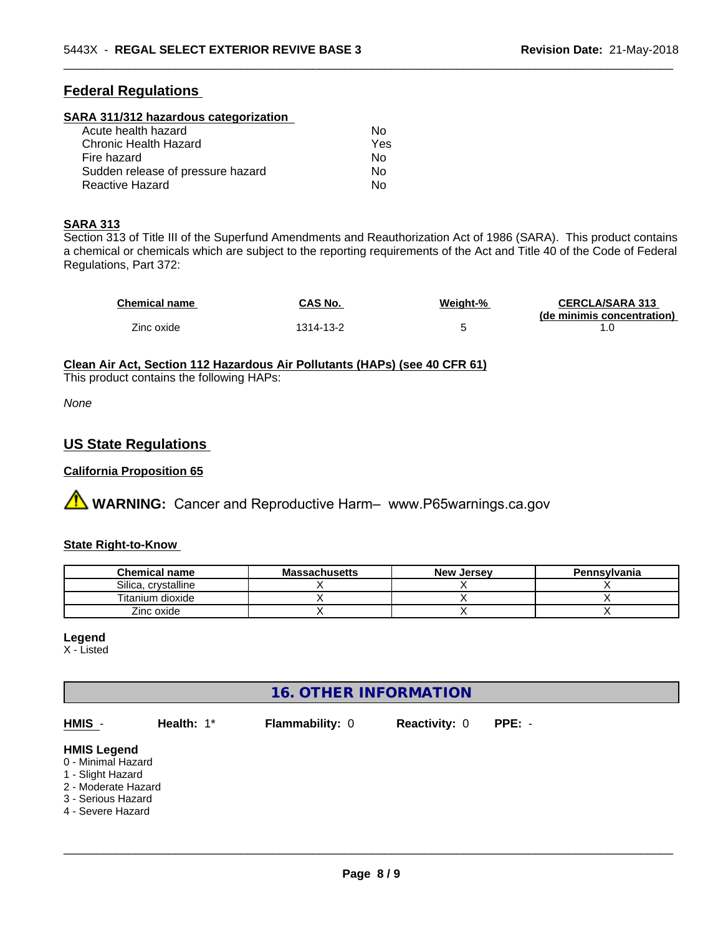# **Federal Regulations**

### **SARA 311/312 hazardous categorization**

| Acute health hazard               | Nο  |
|-----------------------------------|-----|
| Chronic Health Hazard             | Yes |
| Fire hazard                       | Nο  |
| Sudden release of pressure hazard | N٥  |
| Reactive Hazard                   | N٥  |

### **SARA 313**

Section 313 of Title III of the Superfund Amendments and Reauthorization Act of 1986 (SARA). This product contains a chemical or chemicals which are subject to the reporting requirements of the Act and Title 40 of the Code of Federal Regulations, Part 372:

| <b>Chemical name</b> | CAS No.   | Weight-% | <b>CERCLA/SARA 313</b>     |
|----------------------|-----------|----------|----------------------------|
|                      |           |          | (de minimis concentration) |
| Zinc oxide           | 1314-13-2 |          |                            |

 $\overline{\phantom{a}}$  ,  $\overline{\phantom{a}}$  ,  $\overline{\phantom{a}}$  ,  $\overline{\phantom{a}}$  ,  $\overline{\phantom{a}}$  ,  $\overline{\phantom{a}}$  ,  $\overline{\phantom{a}}$  ,  $\overline{\phantom{a}}$  ,  $\overline{\phantom{a}}$  ,  $\overline{\phantom{a}}$  ,  $\overline{\phantom{a}}$  ,  $\overline{\phantom{a}}$  ,  $\overline{\phantom{a}}$  ,  $\overline{\phantom{a}}$  ,  $\overline{\phantom{a}}$  ,  $\overline{\phantom{a}}$ 

# **Clean Air Act,Section 112 Hazardous Air Pollutants (HAPs) (see 40 CFR 61)**

This product contains the following HAPs:

*None*

# **US State Regulations**

# **California Proposition 65**

**AVIMARNING:** Cancer and Reproductive Harm– www.P65warnings.ca.gov

# **State Right-to-Know**

| <b>Chemical name</b>   | <b>Massachusetts</b> | . Jersev<br><b>New</b> | Pennsylvania |
|------------------------|----------------------|------------------------|--------------|
| Silica.<br>crystalline |                      |                        |              |
| Titanium dioxide       |                      |                        |              |
| Zinc oxide             |                      |                        |              |

### **Legend**

X - Listed

# **16. OTHER INFORMATION**

| HMIS -                                                                                                                          | Health: 1* | <b>Flammability: 0</b> | <b>Reactivity: 0</b> | $PPE: -$ |
|---------------------------------------------------------------------------------------------------------------------------------|------------|------------------------|----------------------|----------|
| <b>HMIS Legend</b><br>0 - Minimal Hazard<br>1 - Slight Hazard<br>2 - Moderate Hazard<br>3 - Serious Hazard<br>4 - Severe Hazard |            |                        |                      |          |